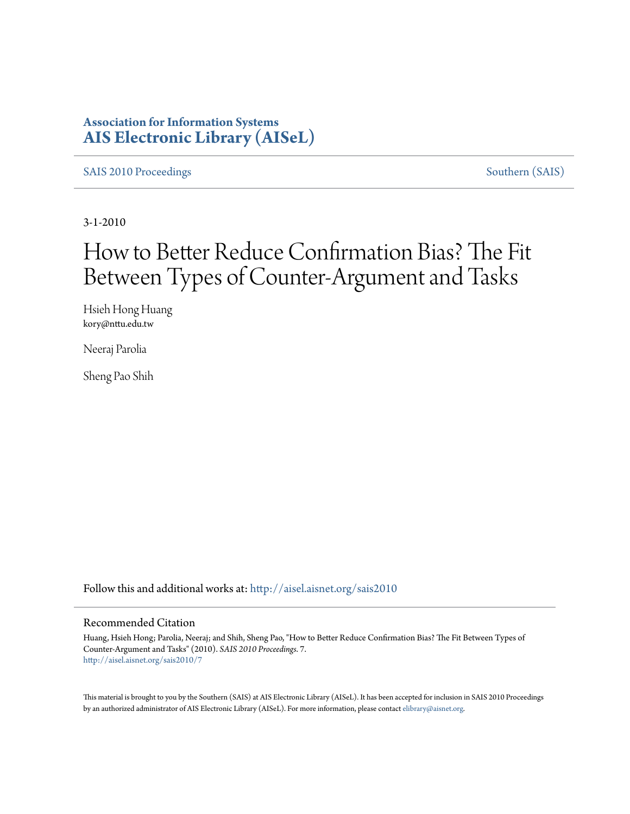### **Association for Information Systems [AIS Electronic Library \(AISeL\)](http://aisel.aisnet.org?utm_source=aisel.aisnet.org%2Fsais2010%2F7&utm_medium=PDF&utm_campaign=PDFCoverPages)**

[SAIS 2010 Proceedings](http://aisel.aisnet.org/sais2010?utm_source=aisel.aisnet.org%2Fsais2010%2F7&utm_medium=PDF&utm_campaign=PDFCoverPages) [Southern \(SAIS\)](http://aisel.aisnet.org/sais?utm_source=aisel.aisnet.org%2Fsais2010%2F7&utm_medium=PDF&utm_campaign=PDFCoverPages)

3-1-2010

# How to Better Reduce Confirmation Bias? The Fit Between Types of Counter-Argument and Tasks

Hsieh Hong Huang kory@nttu.edu.tw

Neeraj Parolia

Sheng Pao Shih

Follow this and additional works at: [http://aisel.aisnet.org/sais2010](http://aisel.aisnet.org/sais2010?utm_source=aisel.aisnet.org%2Fsais2010%2F7&utm_medium=PDF&utm_campaign=PDFCoverPages)

#### Recommended Citation

Huang, Hsieh Hong; Parolia, Neeraj; and Shih, Sheng Pao, "How to Better Reduce Confirmation Bias? The Fit Between Types of Counter-Argument and Tasks" (2010). *SAIS 2010 Proceedings*. 7. [http://aisel.aisnet.org/sais2010/7](http://aisel.aisnet.org/sais2010/7?utm_source=aisel.aisnet.org%2Fsais2010%2F7&utm_medium=PDF&utm_campaign=PDFCoverPages)

This material is brought to you by the Southern (SAIS) at AIS Electronic Library (AISeL). It has been accepted for inclusion in SAIS 2010 Proceedings by an authorized administrator of AIS Electronic Library (AISeL). For more information, please contact [elibrary@aisnet.org](mailto:elibrary@aisnet.org%3E).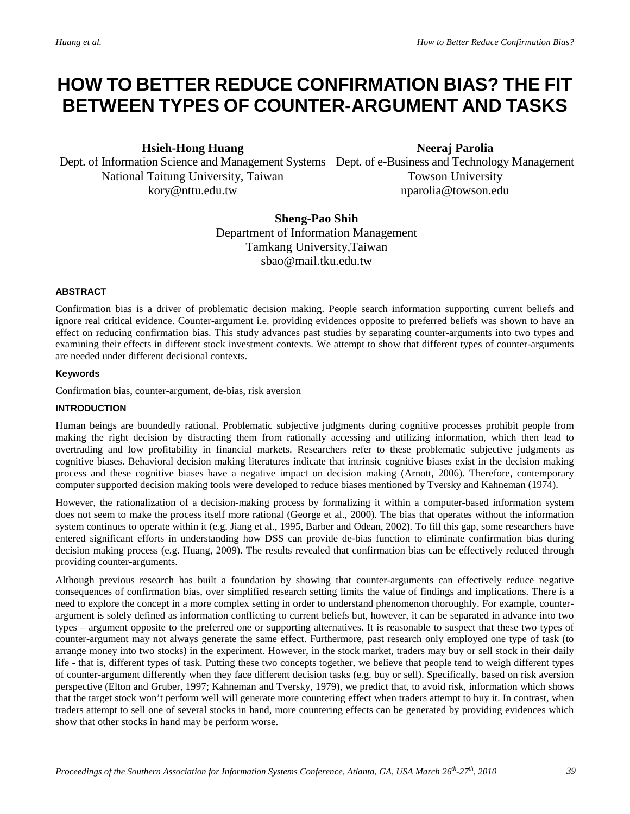## **HOW TO BETTER REDUCE CONFIRMATION BIAS? THE FIT BETWEEN TYPES OF COUNTER-ARGUMENT AND TASKS**

**Hsieh-Hong Huang**

Dept. of Information Science and Management Systems Dept. of e-Business and Technology Management National Taitung University, Taiwan [kory@nttu.edu.tw](mailto:kory@nttu.edu.tw)

**Neeraj Parolia**

Towson University [nparolia@towson.edu](mailto:nparolia@towson.edu)

**Sheng-Pao Shih** Department of Information Management Tamkang University,Taiwan [sbao@mail.tku.edu.tw](mailto:sbao@mail.tku.edu.tw)

#### **ABSTRACT**

Confirmation bias is a driver of problematic decision making. People search information supporting current beliefs and ignore real critical evidence. Counter-argument i.e. providing evidences opposite to preferred beliefs was shown to have an effect on reducing confirmation bias. This study advances past studies by separating counter-arguments into two types and examining their effects in different stock investment contexts. We attempt to show that different types of counter-arguments are needed under different decisional contexts.

#### **Keywords**

Confirmation bias, counter-argument, de-bias, risk aversion

#### **INTRODUCTION**

Human beings are boundedly rational. Problematic subjective judgments during cognitive processes prohibit people from making the right decision by distracting them from rationally accessing and utilizing information, which then lead to overtrading and low profitability in financial markets. Researchers refer to these problematic subjective judgments as cognitive biases. Behavioral decision making literatures indicate that intrinsic cognitive biases exist in the decision making process and these cognitive biases have a negative impact on decision making (Arnott, 2006). Therefore, contemporary computer supported decision making tools were developed to reduce biases mentioned by Tversky and Kahneman (1974).

However, the rationalization of a decision-making process by formalizing it within a computer-based information system does not seem to make the process itself more rational (George et al., 2000). The bias that operates without the information system continues to operate within it (e.g. Jiang et al., 1995, Barber and Odean, 2002). To fill this gap, some researchers have entered significant efforts in understanding how DSS can provide de-bias function to eliminate confirmation bias during decision making process (e.g. Huang, 2009). The results revealed that confirmation bias can be effectively reduced through providing counter-arguments.

Although previous research has built a foundation by showing that counter-arguments can effectively reduce negative consequences of confirmation bias, over simplified research setting limits the value of findings and implications. There is a need to explore the concept in a more complex setting in order to understand phenomenon thoroughly. For example, counterargument is solely defined as information conflicting to current beliefs but, however, it can be separated in advance into two types – argument opposite to the preferred one or supporting alternatives. It is reasonable to suspect that these two types of counter-argument may not always generate the same effect. Furthermore, past research only employed one type of task (to arrange money into two stocks) in the experiment. However, in the stock market, traders may buy or sell stock in their daily life - that is, different types of task. Putting these two concepts together, we believe that people tend to weigh different types of counter-argument differently when they face different decision tasks (e.g. buy or sell). Specifically, based on risk aversion perspective (Elton and Gruber, 1997; Kahneman and Tversky, 1979), we predict that, to avoid risk, information which shows that the target stock won't perform well will generate more countering effect when traders attempt to buy it. In contrast, when traders attempt to sell one of several stocks in hand, more countering effects can be generated by providing evidences which show that other stocks in hand may be perform worse.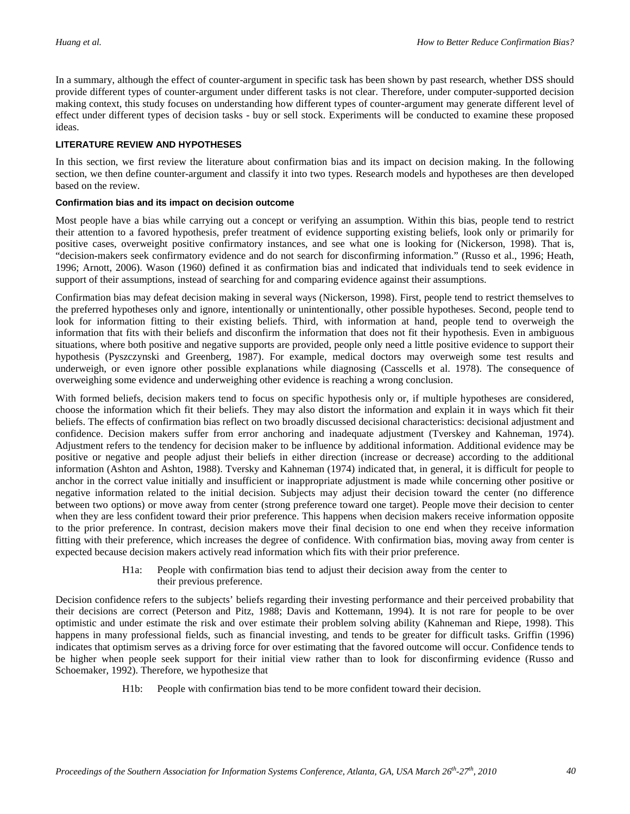In a summary, although the effect of counter-argument in specific task has been shown by past research, whether DSS should provide different types of counter-argument under different tasks is not clear. Therefore, under computer-supported decision making context, this study focuses on understanding how different types of counter-argument may generate different level of effect under different types of decision tasks - buy or sell stock. Experiments will be conducted to examine these proposed ideas.

#### **LITERATURE REVIEW AND HYPOTHESES**

In this section, we first review the literature about confirmation bias and its impact on decision making. In the following section, we then define counter-argument and classify it into two types. Research models and hypotheses are then developed based on the review.

#### **Confirmation bias and its impact on decision outcome**

Most people have a bias while carrying out a concept or verifying an assumption. Within this bias, people tend to restrict their attention to a favored hypothesis, prefer treatment of evidence supporting existing beliefs, look only or primarily for positive cases, overweight positive confirmatory instances, and see what one is looking for (Nickerson, 1998). That is, "decision-makers seek confirmatory evidence and do not search for disconfirming information." (Russo et al., 1996; Heath, 1996; Arnott, 2006). Wason (1960) defined it as confirmation bias and indicated that individuals tend to seek evidence in support of their assumptions, instead of searching for and comparing evidence against their assumptions.

Confirmation bias may defeat decision making in several ways (Nickerson, 1998). First, people tend to restrict themselves to the preferred hypotheses only and ignore, intentionally or unintentionally, other possible hypotheses. Second, people tend to look for information fitting to their existing beliefs. Third, with information at hand, people tend to overweigh the information that fits with their beliefs and disconfirm the information that does not fit their hypothesis. Even in ambiguous situations, where both positive and negative supports are provided, people only need a little positive evidence to support their hypothesis (Pyszczynski and Greenberg, 1987). For example, medical doctors may overweigh some test results and underweigh, or even ignore other possible explanations while diagnosing (Casscells et al. 1978). The consequence of overweighing some evidence and underweighing other evidence is reaching a wrong conclusion.

With formed beliefs, decision makers tend to focus on specific hypothesis only or, if multiple hypotheses are considered, choose the information which fit their beliefs. They may also distort the information and explain it in ways which fit their beliefs. The effects of confirmation bias reflect on two broadly discussed decisional characteristics: decisional adjustment and confidence. Decision makers suffer from error anchoring and inadequate adjustment (Tverskey and Kahneman, 1974). Adjustment refers to the tendency for decision maker to be influence by additional information. Additional evidence may be positive or negative and people adjust their beliefs in either direction (increase or decrease) according to the additional information (Ashton and Ashton, 1988). Tversky and Kahneman (1974) indicated that, in general, it is difficult for people to anchor in the correct value initially and insufficient or inappropriate adjustment is made while concerning other positive or negative information related to the initial decision. Subjects may adjust their decision toward the center (no difference between two options) or move away from center (strong preference toward one target). People move their decision to center when they are less confident toward their prior preference. This happens when decision makers receive information opposite to the prior preference. In contrast, decision makers move their final decision to one end when they receive information fitting with their preference, which increases the degree of confidence. With confirmation bias, moving away from center is expected because decision makers actively read information which fits with their prior preference.

> H1a: People with confirmation bias tend to adjust their decision away from the center to their previous preference.

Decision confidence refers to the subjects' beliefs regarding their investing performance and their perceived probability that their decisions are correct (Peterson and Pitz, 1988; Davis and Kottemann, 1994). It is not rare for people to be over optimistic and under estimate the risk and over estimate their problem solving ability (Kahneman and Riepe, 1998). This happens in many professional fields, such as financial investing, and tends to be greater for difficult tasks. Griffin (1996) indicates that optimism serves as a driving force for over estimating that the favored outcome will occur. Confidence tends to be higher when people seek support for their initial view rather than to look for disconfirming evidence (Russo and Schoemaker, 1992). Therefore, we hypothesize that

H1b: People with confirmation bias tend to be more confident toward their decision.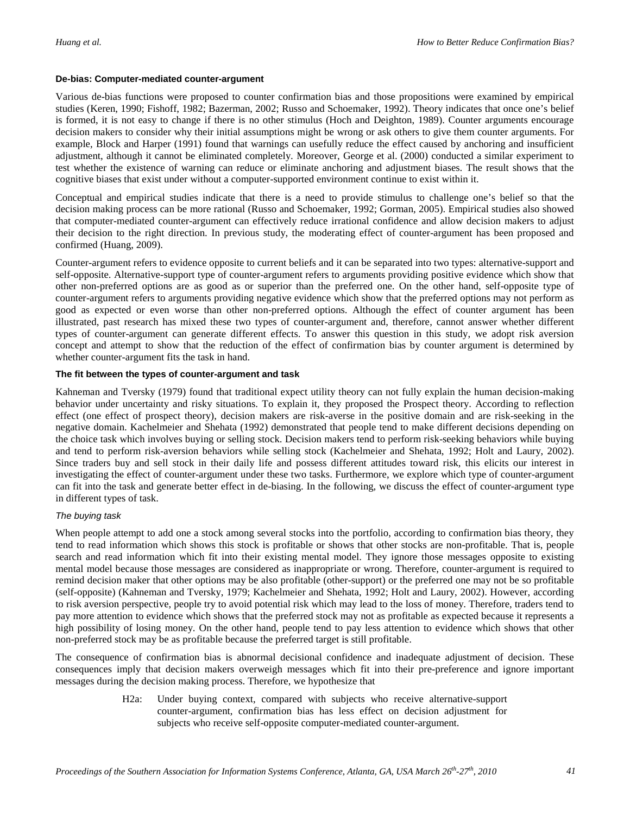#### **De-bias: Computer-mediated counter-argument**

Various de-bias functions were proposed to counter confirmation bias and those propositions were examined by empirical studies (Keren, 1990; Fishoff, 1982; Bazerman, 2002; Russo and Schoemaker, 1992). Theory indicates that once one's belief is formed, it is not easy to change if there is no other stimulus (Hoch and Deighton, 1989). Counter arguments encourage decision makers to consider why their initial assumptions might be wrong or ask others to give them counter arguments. For example, Block and Harper (1991) found that warnings can usefully reduce the effect caused by anchoring and insufficient adjustment, although it cannot be eliminated completely. Moreover, George et al. (2000) conducted a similar experiment to test whether the existence of warning can reduce or eliminate anchoring and adjustment biases. The result shows that the cognitive biases that exist under without a computer-supported environment continue to exist within it.

Conceptual and empirical studies indicate that there is a need to provide stimulus to challenge one's belief so that the decision making process can be more rational (Russo and Schoemaker, 1992; Gorman, 2005). Empirical studies also showed that computer-mediated counter-argument can effectively reduce irrational confidence and allow decision makers to adjust their decision to the right direction. In previous study, the moderating effect of counter-argument has been proposed and confirmed (Huang, 2009).

Counter-argument refers to evidence opposite to current beliefs and it can be separated into two types: alternative-support and self-opposite. Alternative-support type of counter-argument refers to arguments providing positive evidence which show that other non-preferred options are as good as or superior than the preferred one. On the other hand, self-opposite type of counter-argument refers to arguments providing negative evidence which show that the preferred options may not perform as good as expected or even worse than other non-preferred options. Although the effect of counter argument has been illustrated, past research has mixed these two types of counter-argument and, therefore, cannot answer whether different types of counter-argument can generate different effects. To answer this question in this study, we adopt risk aversion concept and attempt to show that the reduction of the effect of confirmation bias by counter argument is determined by whether counter-argument fits the task in hand.

#### **The fit between the types of counter-argument and task**

Kahneman and Tversky (1979) found that traditional expect utility theory can not fully explain the human decision-making behavior under uncertainty and risky situations. To explain it, they proposed the Prospect theory. According to reflection effect (one effect of prospect theory), decision makers are risk-averse in the positive domain and are risk-seeking in the negative domain. Kachelmeier and Shehata (1992) demonstrated that people tend to make different decisions depending on the choice task which involves buying or selling stock. Decision makers tend to perform risk-seeking behaviors while buying and tend to perform risk-aversion behaviors while selling stock (Kachelmeier and Shehata, 1992; Holt and Laury, 2002). Since traders buy and sell stock in their daily life and possess different attitudes toward risk, this elicits our interest in investigating the effect of counter-argument under these two tasks. Furthermore, we explore which type of counter-argument can fit into the task and generate better effect in de-biasing. In the following, we discuss the effect of counter-argument type in different types of task.

#### *The buying task*

When people attempt to add one a stock among several stocks into the portfolio, according to confirmation bias theory, they tend to read information which shows this stock is profitable or shows that other stocks are non-profitable. That is, people search and read information which fit into their existing mental model. They ignore those messages opposite to existing mental model because those messages are considered as inappropriate or wrong. Therefore, counter-argument is required to remind decision maker that other options may be also profitable (other-support) or the preferred one may not be so profitable (self-opposite) (Kahneman and Tversky, 1979; Kachelmeier and Shehata, 1992; Holt and Laury, 2002). However, according to risk aversion perspective, people try to avoid potential risk which may lead to the loss of money. Therefore, traders tend to pay more attention to evidence which shows that the preferred stock may not as profitable as expected because it represents a high possibility of losing money. On the other hand, people tend to pay less attention to evidence which shows that other non-preferred stock may be as profitable because the preferred target is still profitable.

The consequence of confirmation bias is abnormal decisional confidence and inadequate adjustment of decision. These consequences imply that decision makers overweigh messages which fit into their pre-preference and ignore important messages during the decision making process. Therefore, we hypothesize that

> H2a: Under buying context, compared with subjects who receive alternative-support counter-argument, confirmation bias has less effect on decision adjustment for subjects who receive self-opposite computer-mediated counter-argument.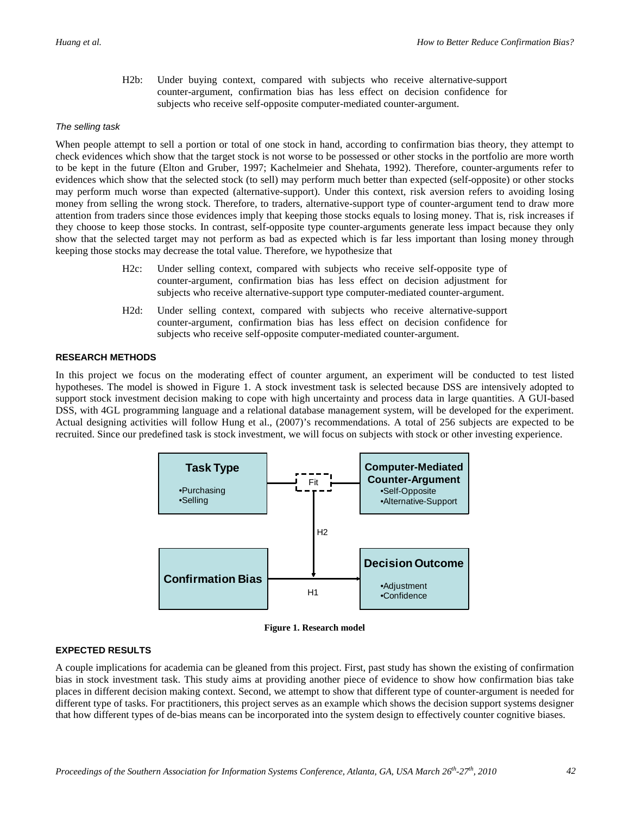H2b: Under buying context, compared with subjects who receive alternative-support counter-argument, confirmation bias has less effect on decision confidence for subjects who receive self-opposite computer-mediated counter-argument.

#### *The selling task*

When people attempt to sell a portion or total of one stock in hand, according to confirmation bias theory, they attempt to check evidences which show that the target stock is not worse to be possessed or other stocks in the portfolio are more worth to be kept in the future (Elton and Gruber, 1997; Kachelmeier and Shehata, 1992). Therefore, counter-arguments refer to evidences which show that the selected stock (to sell) may perform much better than expected (self-opposite) or other stocks may perform much worse than expected (alternative-support). Under this context, risk aversion refers to avoiding losing money from selling the wrong stock. Therefore, to traders, alternative-support type of counter-argument tend to draw more attention from traders since those evidences imply that keeping those stocks equals to losing money. That is, risk increases if they choose to keep those stocks. In contrast, self-opposite type counter-arguments generate less impact because they only show that the selected target may not perform as bad as expected which is far less important than losing money through keeping those stocks may decrease the total value. Therefore, we hypothesize that

- H2c: Under selling context, compared with subjects who receive self-opposite type of counter-argument, confirmation bias has less effect on decision adjustment for subjects who receive alternative-support type computer-mediated counter-argument.
- H2d: Under selling context, compared with subjects who receive alternative-support counter-argument, confirmation bias has less effect on decision confidence for subjects who receive self-opposite computer-mediated counter-argument.

#### **RESEARCH METHODS**

In this project we focus on the moderating effect of counter argument, an experiment will be conducted to test listed hypotheses. The model is showed in Figure 1. A stock investment task is selected because DSS are intensively adopted to support stock investment decision making to cope with high uncertainty and process data in large quantities. A GUI-based DSS, with 4GL programming language and a relational database management system, will be developed for the experiment. Actual designing activities will follow Hung et al., (2007)'s recommendations. A total of 256 subjects are expected to be recruited. Since our predefined task is stock investment, we will focus on subjects with stock or other investing experience.



**Figure 1. Research model**

#### **EXPECTED RESULTS**

A couple implications for academia can be gleaned from this project. First, past study has shown the existing of confirmation bias in stock investment task. This study aims at providing another piece of evidence to show how confirmation bias take places in different decision making context. Second, we attempt to show that different type of counter-argument is needed for different type of tasks. For practitioners, this project serves as an example which shows the decision support systems designer that how different types of de-bias means can be incorporated into the system design to effectively counter cognitive biases.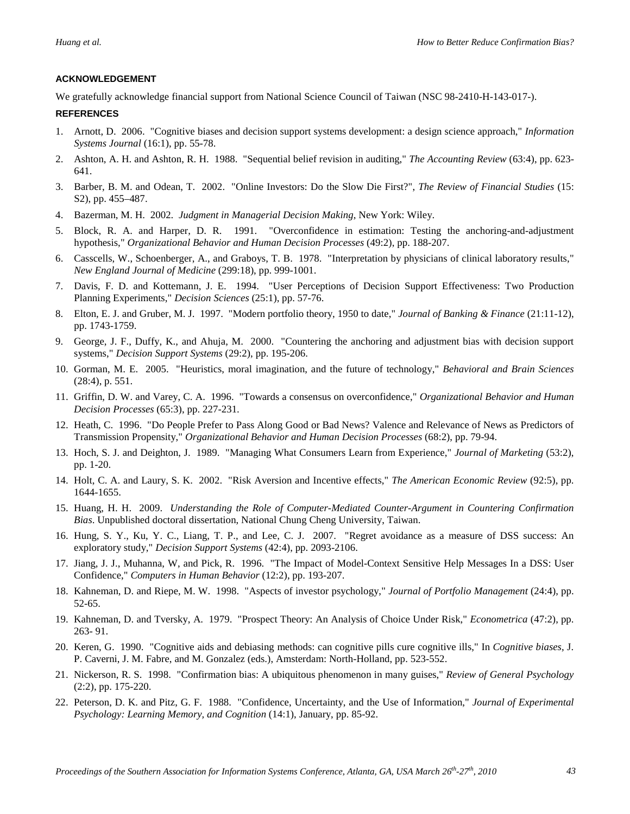#### **ACKNOWLEDGEMENT**

We gratefully acknowledge financial support from National Science Council of Taiwan (NSC 98-2410-H-143-017-).

#### **REFERENCES**

- 1. Arnott, D. 2006. "Cognitive biases and decision support systems development: a design science approach," *Information Systems Journal* (16:1), pp. 55-78.
- 2. Ashton, A. H. and Ashton, R. H. 1988. "Sequential belief revision in auditing," *The Accounting Review* (63:4), pp. 623- 641.
- 3. Barber, B. M. and Odean, T. 2002. "Online Investors: Do the Slow Die First?", *The Review of Financial Studies* (15: S2), pp. 455–487.
- 4. Bazerman, M. H. 2002. *Judgment in Managerial Decision Making*, New York: Wiley.
- 5. Block, R. A. and Harper, D. R. 1991. "Overconfidence in estimation: Testing the anchoring-and-adjustment hypothesis," *Organizational Behavior and Human Decision Processes* (49:2), pp. 188-207.
- 6. Casscells, W., Schoenberger, A., and Graboys, T. B. 1978. "Interpretation by physicians of clinical laboratory results," *New England Journal of Medicine* (299:18), pp. 999-1001.
- 7. Davis, F. D. and Kottemann, J. E. 1994. "User Perceptions of Decision Support Effectiveness: Two Production Planning Experiments," *Decision Sciences* (25:1), pp. 57-76.
- 8. Elton, E. J. and Gruber, M. J. 1997. "Modern portfolio theory, 1950 to date," *Journal of Banking & Finance* (21:11-12), pp. 1743-1759.
- 9. George, J. F., Duffy, K., and Ahuja, M. 2000. "Countering the anchoring and adjustment bias with decision support systems," *Decision Support Systems* (29:2), pp. 195-206.
- 10. Gorman, M. E. 2005. "Heuristics, moral imagination, and the future of technology," *Behavioral and Brain Sciences* (28:4), p. 551.
- 11. Griffin, D. W. and Varey, C. A. 1996. "Towards a consensus on overconfidence," *Organizational Behavior and Human Decision Processes* (65:3), pp. 227-231.
- 12. Heath, C. 1996. "Do People Prefer to Pass Along Good or Bad News? Valence and Relevance of News as Predictors of Transmission Propensity," *Organizational Behavior and Human Decision Processes* (68:2), pp. 79-94.
- 13. Hoch, S. J. and Deighton, J. 1989. "Managing What Consumers Learn from Experience," *Journal of Marketing* (53:2), pp. 1-20.
- 14. Holt, C. A. and Laury, S. K. 2002. "Risk Aversion and Incentive effects," *The American Economic Review* (92:5), pp. 1644-1655.
- 15. Huang, H. H. 2009. *Understanding the Role of Computer-Mediated Counter-Argument in Countering Confirmation Bias*. Unpublished doctoral dissertation, National Chung Cheng University, Taiwan.
- 16. Hung, S. Y., Ku, Y. C., Liang, T. P., and Lee, C. J. 2007. "Regret avoidance as a measure of DSS success: An exploratory study," *Decision Support Systems* (42:4), pp. 2093-2106.
- 17. Jiang, J. J., Muhanna, W, and Pick, R. 1996. "The Impact of Model-Context Sensitive Help Messages In a DSS: User Confidence," *Computers in Human Behavior* (12:2), pp. 193-207.
- 18. Kahneman, D. and Riepe, M. W. 1998. "Aspects of investor psychology," *Journal of Portfolio Management* (24:4), pp. 52-65.
- 19. Kahneman, D. and Tversky, A. 1979. "Prospect Theory: An Analysis of Choice Under Risk," *Econometrica* (47:2), pp. 263- 91.
- 20. Keren, G. 1990. "Cognitive aids and debiasing methods: can cognitive pills cure cognitive ills," In *Cognitive biases*, J. P. Caverni, J. M. Fabre, and M. Gonzalez (eds.), Amsterdam: North-Holland, pp. 523-552.
- 21. Nickerson, R. S. 1998. "Confirmation bias: A ubiquitous phenomenon in many guises," *Review of General Psychology* (2:2), pp. 175-220.
- 22. Peterson, D. K. and Pitz, G. F. 1988. "Confidence, Uncertainty, and the Use of Information," *Journal of Experimental Psychology: Learning Memory, and Cognition* (14:1), January, pp. 85-92.